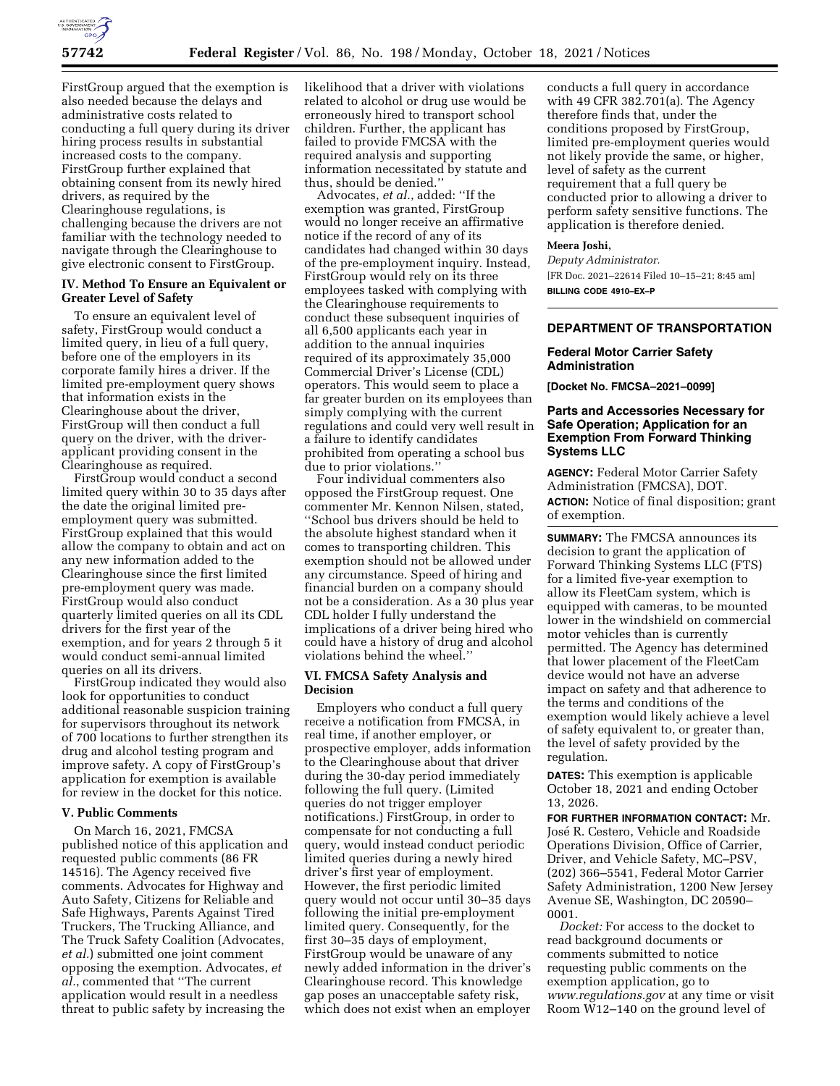

FirstGroup argued that the exemption is also needed because the delays and administrative costs related to conducting a full query during its driver hiring process results in substantial increased costs to the company. FirstGroup further explained that obtaining consent from its newly hired drivers, as required by the Clearinghouse regulations, is challenging because the drivers are not familiar with the technology needed to navigate through the Clearinghouse to give electronic consent to FirstGroup.

### **IV. Method To Ensure an Equivalent or Greater Level of Safety**

To ensure an equivalent level of safety, FirstGroup would conduct a limited query, in lieu of a full query, before one of the employers in its corporate family hires a driver. If the limited pre-employment query shows that information exists in the Clearinghouse about the driver, FirstGroup will then conduct a full query on the driver, with the driverapplicant providing consent in the Clearinghouse as required.

FirstGroup would conduct a second limited query within 30 to 35 days after the date the original limited preemployment query was submitted. FirstGroup explained that this would allow the company to obtain and act on any new information added to the Clearinghouse since the first limited pre-employment query was made. FirstGroup would also conduct quarterly limited queries on all its CDL drivers for the first year of the exemption, and for years 2 through 5 it would conduct semi-annual limited queries on all its drivers.

FirstGroup indicated they would also look for opportunities to conduct additional reasonable suspicion training for supervisors throughout its network of 700 locations to further strengthen its drug and alcohol testing program and improve safety. A copy of FirstGroup's application for exemption is available for review in the docket for this notice.

### **V. Public Comments**

On March 16, 2021, FMCSA published notice of this application and requested public comments (86 FR 14516). The Agency received five comments. Advocates for Highway and Auto Safety, Citizens for Reliable and Safe Highways, Parents Against Tired Truckers, The Trucking Alliance, and The Truck Safety Coalition (Advocates, *et al.*) submitted one joint comment opposing the exemption. Advocates, *et al.*, commented that ''The current application would result in a needless threat to public safety by increasing the

likelihood that a driver with violations related to alcohol or drug use would be erroneously hired to transport school children. Further, the applicant has failed to provide FMCSA with the required analysis and supporting information necessitated by statute and thus, should be denied.''

Advocates, *et al.*, added: ''If the exemption was granted, FirstGroup would no longer receive an affirmative notice if the record of any of its candidates had changed within 30 days of the pre-employment inquiry. Instead, FirstGroup would rely on its three employees tasked with complying with the Clearinghouse requirements to conduct these subsequent inquiries of all 6,500 applicants each year in addition to the annual inquiries required of its approximately 35,000 Commercial Driver's License (CDL) operators. This would seem to place a far greater burden on its employees than simply complying with the current regulations and could very well result in a failure to identify candidates prohibited from operating a school bus due to prior violations.''

Four individual commenters also opposed the FirstGroup request. One commenter Mr. Kennon Nilsen, stated, ''School bus drivers should be held to the absolute highest standard when it comes to transporting children. This exemption should not be allowed under any circumstance. Speed of hiring and financial burden on a company should not be a consideration. As a 30 plus year CDL holder I fully understand the implications of a driver being hired who could have a history of drug and alcohol violations behind the wheel.''

## **VI. FMCSA Safety Analysis and Decision**

Employers who conduct a full query receive a notification from FMCSA, in real time, if another employer, or prospective employer, adds information to the Clearinghouse about that driver during the 30-day period immediately following the full query. (Limited queries do not trigger employer notifications.) FirstGroup, in order to compensate for not conducting a full query, would instead conduct periodic limited queries during a newly hired driver's first year of employment. However, the first periodic limited query would not occur until 30–35 days following the initial pre-employment limited query. Consequently, for the first 30–35 days of employment, FirstGroup would be unaware of any newly added information in the driver's Clearinghouse record. This knowledge gap poses an unacceptable safety risk, which does not exist when an employer

conducts a full query in accordance with 49 CFR 382.701(a). The Agency therefore finds that, under the conditions proposed by FirstGroup, limited pre-employment queries would not likely provide the same, or higher, level of safety as the current requirement that a full query be conducted prior to allowing a driver to perform safety sensitive functions. The application is therefore denied.

#### **Meera Joshi,**

*Deputy Administrator.*  [FR Doc. 2021–22614 Filed 10–15–21; 8:45 am]

**BILLING CODE 4910–EX–P** 

#### **DEPARTMENT OF TRANSPORTATION**

### **Federal Motor Carrier Safety Administration**

**[Docket No. FMCSA–2021–0099]** 

# **Parts and Accessories Necessary for Safe Operation; Application for an Exemption From Forward Thinking Systems LLC**

**AGENCY:** Federal Motor Carrier Safety Administration (FMCSA), DOT. **ACTION:** Notice of final disposition; grant of exemption.

**SUMMARY:** The FMCSA announces its decision to grant the application of Forward Thinking Systems LLC (FTS) for a limited five-year exemption to allow its FleetCam system, which is equipped with cameras, to be mounted lower in the windshield on commercial motor vehicles than is currently permitted. The Agency has determined that lower placement of the FleetCam device would not have an adverse impact on safety and that adherence to the terms and conditions of the exemption would likely achieve a level of safety equivalent to, or greater than, the level of safety provided by the regulation.

**DATES:** This exemption is applicable October 18, 2021 and ending October 13, 2026.

**FOR FURTHER INFORMATION CONTACT:** Mr. José R. Cestero, Vehicle and Roadside Operations Division, Office of Carrier, Driver, and Vehicle Safety, MC–PSV, (202) 366–5541, Federal Motor Carrier Safety Administration, 1200 New Jersey Avenue SE, Washington, DC 20590– 0001.

*Docket:* For access to the docket to read background documents or comments submitted to notice requesting public comments on the exemption application, go to *[www.regulations.gov](http://www.regulations.gov)* at any time or visit Room W12–140 on the ground level of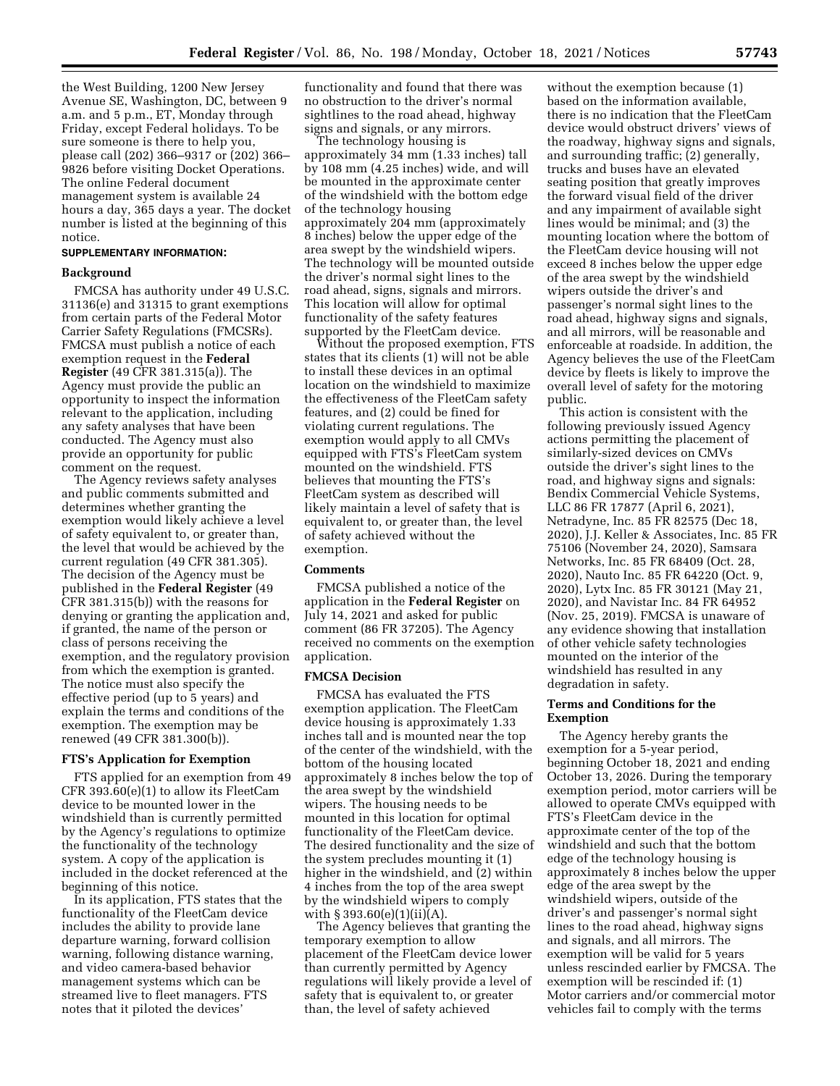the West Building, 1200 New Jersey Avenue SE, Washington, DC, between 9 a.m. and 5 p.m., ET, Monday through Friday, except Federal holidays. To be sure someone is there to help you, please call (202) 366–9317 or (202) 366– 9826 before visiting Docket Operations. The online Federal document management system is available 24 hours a day, 365 days a year. The docket number is listed at the beginning of this notice.

### **SUPPLEMENTARY INFORMATION:**

### **Background**

FMCSA has authority under 49 U.S.C. 31136(e) and 31315 to grant exemptions from certain parts of the Federal Motor Carrier Safety Regulations (FMCSRs). FMCSA must publish a notice of each exemption request in the **Federal Register** (49 CFR 381.315(a)). The Agency must provide the public an opportunity to inspect the information relevant to the application, including any safety analyses that have been conducted. The Agency must also provide an opportunity for public comment on the request.

The Agency reviews safety analyses and public comments submitted and determines whether granting the exemption would likely achieve a level of safety equivalent to, or greater than, the level that would be achieved by the current regulation (49 CFR 381.305). The decision of the Agency must be published in the **Federal Register** (49 CFR 381.315(b)) with the reasons for denying or granting the application and, if granted, the name of the person or class of persons receiving the exemption, and the regulatory provision from which the exemption is granted. The notice must also specify the effective period (up to 5 years) and explain the terms and conditions of the exemption. The exemption may be renewed (49 CFR 381.300(b)).

# **FTS's Application for Exemption**

FTS applied for an exemption from 49 CFR 393.60(e)(1) to allow its FleetCam device to be mounted lower in the windshield than is currently permitted by the Agency's regulations to optimize the functionality of the technology system. A copy of the application is included in the docket referenced at the beginning of this notice.

In its application, FTS states that the functionality of the FleetCam device includes the ability to provide lane departure warning, forward collision warning, following distance warning, and video camera-based behavior management systems which can be streamed live to fleet managers. FTS notes that it piloted the devices'

functionality and found that there was no obstruction to the driver's normal sightlines to the road ahead, highway signs and signals, or any mirrors.

The technology housing is approximately 34 mm (1.33 inches) tall by 108 mm (4.25 inches) wide, and will be mounted in the approximate center of the windshield with the bottom edge of the technology housing approximately 204 mm (approximately 8 inches) below the upper edge of the area swept by the windshield wipers. The technology will be mounted outside the driver's normal sight lines to the road ahead, signs, signals and mirrors. This location will allow for optimal functionality of the safety features supported by the FleetCam device.

Without the proposed exemption, FTS states that its clients (1) will not be able to install these devices in an optimal location on the windshield to maximize the effectiveness of the FleetCam safety features, and (2) could be fined for violating current regulations. The exemption would apply to all CMVs equipped with FTS's FleetCam system mounted on the windshield. FTS believes that mounting the FTS's FleetCam system as described will likely maintain a level of safety that is equivalent to, or greater than, the level of safety achieved without the exemption.

#### **Comments**

FMCSA published a notice of the application in the **Federal Register** on July 14, 2021 and asked for public comment (86 FR 37205). The Agency received no comments on the exemption application.

### **FMCSA Decision**

FMCSA has evaluated the FTS exemption application. The FleetCam device housing is approximately 1.33 inches tall and is mounted near the top of the center of the windshield, with the bottom of the housing located approximately 8 inches below the top of the area swept by the windshield wipers. The housing needs to be mounted in this location for optimal functionality of the FleetCam device. The desired functionality and the size of the system precludes mounting it (1) higher in the windshield, and (2) within 4 inches from the top of the area swept by the windshield wipers to comply with § 393.60(e)(1)(ii)(A).

The Agency believes that granting the temporary exemption to allow placement of the FleetCam device lower than currently permitted by Agency regulations will likely provide a level of safety that is equivalent to, or greater than, the level of safety achieved

without the exemption because (1) based on the information available, there is no indication that the FleetCam device would obstruct drivers' views of the roadway, highway signs and signals, and surrounding traffic; (2) generally, trucks and buses have an elevated seating position that greatly improves the forward visual field of the driver and any impairment of available sight lines would be minimal; and (3) the mounting location where the bottom of the FleetCam device housing will not exceed 8 inches below the upper edge of the area swept by the windshield wipers outside the driver's and passenger's normal sight lines to the road ahead, highway signs and signals, and all mirrors, will be reasonable and enforceable at roadside. In addition, the Agency believes the use of the FleetCam device by fleets is likely to improve the overall level of safety for the motoring public.

This action is consistent with the following previously issued Agency actions permitting the placement of similarly-sized devices on CMVs outside the driver's sight lines to the road, and highway signs and signals: Bendix Commercial Vehicle Systems, LLC 86 FR 17877 (April 6, 2021), Netradyne, Inc. 85 FR 82575 (Dec 18, 2020), J.J. Keller & Associates, Inc. 85 FR 75106 (November 24, 2020), Samsara Networks, Inc. 85 FR 68409 (Oct. 28, 2020), Nauto Inc. 85 FR 64220 (Oct. 9, 2020), Lytx Inc. 85 FR 30121 (May 21, 2020), and Navistar Inc. 84 FR 64952 (Nov. 25, 2019). FMCSA is unaware of any evidence showing that installation of other vehicle safety technologies mounted on the interior of the windshield has resulted in any degradation in safety.

### **Terms and Conditions for the Exemption**

The Agency hereby grants the exemption for a 5-year period, beginning October 18, 2021 and ending October 13, 2026. During the temporary exemption period, motor carriers will be allowed to operate CMVs equipped with FTS's FleetCam device in the approximate center of the top of the windshield and such that the bottom edge of the technology housing is approximately 8 inches below the upper edge of the area swept by the windshield wipers, outside of the driver's and passenger's normal sight lines to the road ahead, highway signs and signals, and all mirrors. The exemption will be valid for 5 years unless rescinded earlier by FMCSA. The exemption will be rescinded if: (1) Motor carriers and/or commercial motor vehicles fail to comply with the terms